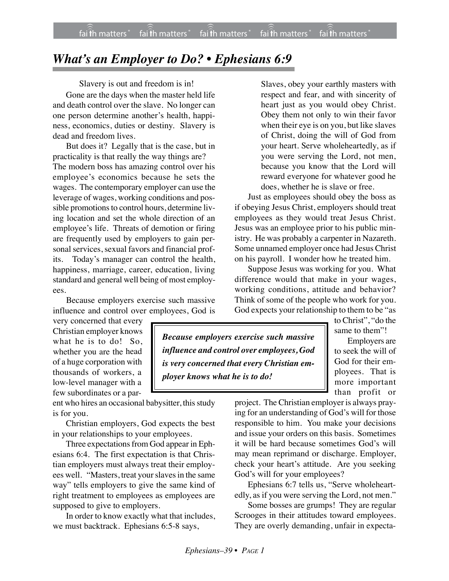## *What's an Employer to Do? • Ephesians 6:9*

Slavery is out and freedom is in!

Gone are the days when the master held life and death control over the slave. No longer can one person determine another's health, happiness, economics, duties or destiny. Slavery is dead and freedom lives.

But does it? Legally that is the case, but in practicality is that really the way things are? The modern boss has amazing control over his employee's economics because he sets the wages. The contemporary employer can use the leverage of wages, working conditions and possible promotions to control hours, determine living location and set the whole direction of an employee's life. Threats of demotion or firing are frequently used by employers to gain personal services, sexual favors and financial profits. Today's manager can control the health, happiness, marriage, career, education, living standard and general well being of most employees.

Because employers exercise such massive influence and control over employees, God is

very concerned that every Christian employer knows what he is to do! So, whether you are the head of a huge corporation with thousands of workers, a low-level manager with a few subordinates or a par-

ent who hires an occasional babysitter, this study is for you.

Christian employers, God expects the best in your relationships to your employees.

Three expectations from God appear in Ephesians 6:4. The first expectation is that Christian employers must always treat their employees well. "Masters, treat your slaves in the same way" tells employers to give the same kind of right treatment to employees as employees are supposed to give to employers.

In order to know exactly what that includes, we must backtrack. Ephesians 6:5-8 says,

Slaves, obey your earthly masters with respect and fear, and with sincerity of heart just as you would obey Christ. Obey them not only to win their favor when their eye is on you, but like slaves of Christ, doing the will of God from your heart. Serve wholeheartedly, as if you were serving the Lord, not men, because you know that the Lord will reward everyone for whatever good he does, whether he is slave or free.

Just as employees should obey the boss as if obeying Jesus Christ, employers should treat employees as they would treat Jesus Christ. Jesus was an employee prior to his public ministry. He was probably a carpenter in Nazareth. Some unnamed employer once had Jesus Christ on his payroll. I wonder how he treated him.

Suppose Jesus was working for you. What difference would that make in your wages, working conditions, attitude and behavior? Think of some of the people who work for you. God expects your relationship to them to be "as

*Because employers exercise such massive influence and control over employees, God is very concerned that every Christian employer knows what he is to do!*

to Christ", "do the same to them"! Employers are to seek the will of God for their employees. That is more important than profit or

project. The Christian employer is always praying for an understanding of God's will for those responsible to him. You make your decisions and issue your orders on this basis. Sometimes it will be hard because sometimes God's will may mean reprimand or discharge. Employer, check your heart's attitude. Are you seeking God's will for your employees?

Ephesians 6:7 tells us, "Serve wholeheartedly, as if you were serving the Lord, not men."

Some bosses are grumps! They are regular Scrooges in their attitudes toward employees. They are overly demanding, unfair in expecta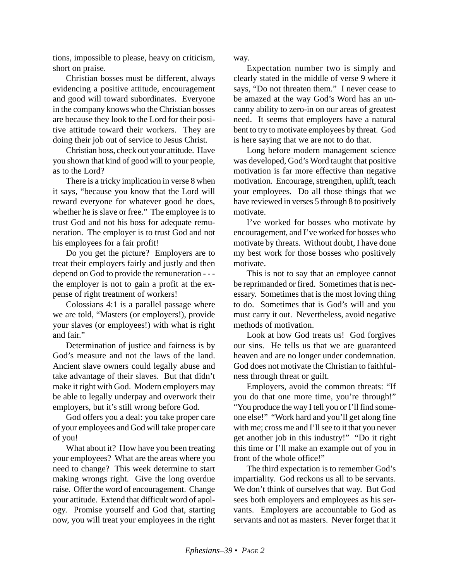tions, impossible to please, heavy on criticism, short on praise.

Christian bosses must be different, always evidencing a positive attitude, encouragement and good will toward subordinates. Everyone in the company knows who the Christian bosses are because they look to the Lord for their positive attitude toward their workers. They are doing their job out of service to Jesus Christ.

Christian boss, check out your attitude. Have you shown that kind of good will to your people, as to the Lord?

There is a tricky implication in verse 8 when it says, "because you know that the Lord will reward everyone for whatever good he does, whether he is slave or free." The employee is to trust God and not his boss for adequate remuneration. The employer is to trust God and not his employees for a fair profit!

Do you get the picture? Employers are to treat their employers fairly and justly and then depend on God to provide the remuneration - - the employer is not to gain a profit at the expense of right treatment of workers!

Colossians 4:1 is a parallel passage where we are told, "Masters (or employers!), provide your slaves (or employees!) with what is right and fair."

Determination of justice and fairness is by God's measure and not the laws of the land. Ancient slave owners could legally abuse and take advantage of their slaves. But that didn't make it right with God. Modern employers may be able to legally underpay and overwork their employers, but it's still wrong before God.

God offers you a deal: you take proper care of your employees and God will take proper care of you!

What about it? How have you been treating your employees? What are the areas where you need to change? This week determine to start making wrongs right. Give the long overdue raise. Offer the word of encouragement. Change your attitude. Extend that difficult word of apology. Promise yourself and God that, starting now, you will treat your employees in the right

way.

Expectation number two is simply and clearly stated in the middle of verse 9 where it says, "Do not threaten them." I never cease to be amazed at the way God's Word has an uncanny ability to zero-in on our areas of greatest need. It seems that employers have a natural bent to try to motivate employees by threat. God is here saying that we are not to do that.

Long before modern management science was developed, God's Word taught that positive motivation is far more effective than negative motivation. Encourage, strengthen, uplift, teach your employees. Do all those things that we have reviewed in verses 5 through 8 to positively motivate.

I've worked for bosses who motivate by encouragement, and I've worked for bosses who motivate by threats. Without doubt, I have done my best work for those bosses who positively motivate.

This is not to say that an employee cannot be reprimanded or fired. Sometimes that is necessary. Sometimes that is the most loving thing to do. Sometimes that is God's will and you must carry it out. Nevertheless, avoid negative methods of motivation.

Look at how God treats us! God forgives our sins. He tells us that we are guaranteed heaven and are no longer under condemnation. God does not motivate the Christian to faithfulness through threat or guilt.

Employers, avoid the common threats: "If you do that one more time, you're through!" "You produce the way I tell you or I'll find someone else!" "Work hard and you'll get along fine with me; cross me and I'll see to it that you never get another job in this industry!" "Do it right this time or I'll make an example out of you in front of the whole office!"

The third expectation is to remember God's impartiality. God reckons us all to be servants. We don't think of ourselves that way. But God sees both employers and employees as his servants. Employers are accountable to God as servants and not as masters. Never forget that it